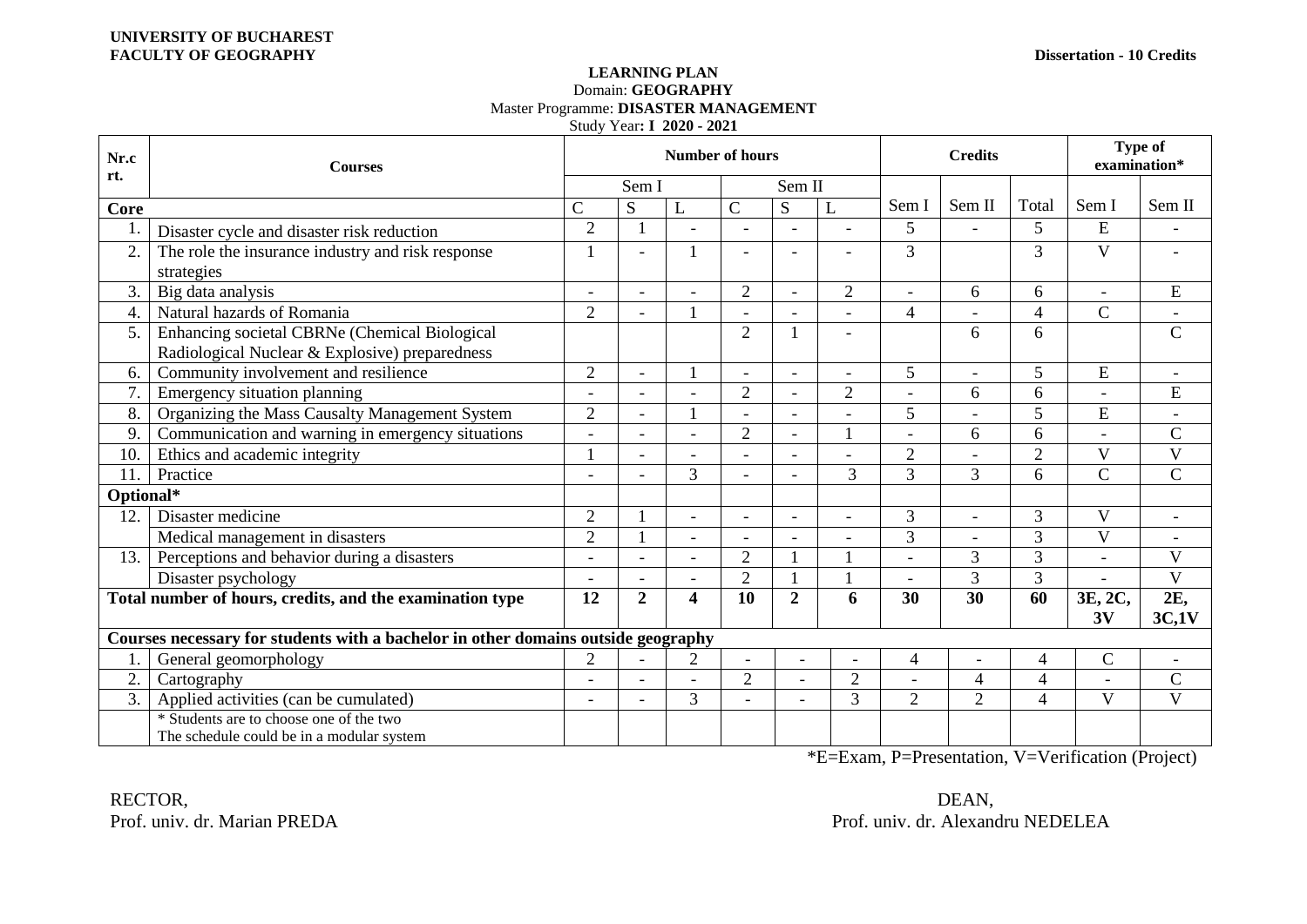## **LEARNING PLAN** Domain: **GEOGRAPHY** Master Programme: **DISASTER MANAGEMENT** Study Year**: I 2020 - 2021**

| Nr.c<br>rt.                                                                       | <b>Courses</b>                                    | <b>Number of hours</b>   |                          |                         |                |                          |                          | <b>Credits</b> |                |                | <b>Type of</b><br>examination* |                          |
|-----------------------------------------------------------------------------------|---------------------------------------------------|--------------------------|--------------------------|-------------------------|----------------|--------------------------|--------------------------|----------------|----------------|----------------|--------------------------------|--------------------------|
|                                                                                   |                                                   | Sem II<br>Sem I          |                          |                         |                |                          |                          |                |                |                |                                |                          |
| Core                                                                              |                                                   | $\mathsf{C}$             | S                        | L                       | $\mathbf C$    | S                        | L                        | Sem I          | Sem II         | Total          | Sem I                          | Sem II                   |
| -1.                                                                               | Disaster cycle and disaster risk reduction        | $\overline{2}$           |                          |                         |                |                          |                          | 5              |                | 5              | E                              |                          |
| 2.                                                                                | The role the insurance industry and risk response |                          | $\overline{\phantom{0}}$ |                         |                |                          | $\overline{\phantom{a}}$ | 3              |                | 3              | $\mathbf{V}$                   |                          |
|                                                                                   | strategies                                        |                          |                          |                         |                |                          |                          |                |                |                |                                |                          |
| $\overline{3}$ .                                                                  | Big data analysis                                 | $\overline{\phantom{a}}$ |                          |                         | $\overline{2}$ |                          | $\overline{2}$           |                | 6              | 6              | $\blacksquare$                 | ${\bf E}$                |
| 4.                                                                                | Natural hazards of Romania                        | $\overline{2}$           |                          |                         |                |                          | $\overline{a}$           | $\overline{4}$ |                | $\overline{4}$ | $\mathcal{C}$                  |                          |
| 5.                                                                                | Enhancing societal CBRNe (Chemical Biological     |                          |                          |                         | $\overline{2}$ |                          | $\overline{\phantom{a}}$ |                | 6              | 6              |                                | $\mathbf C$              |
|                                                                                   | Radiological Nuclear & Explosive) preparedness    |                          |                          |                         |                |                          |                          |                |                |                |                                |                          |
| 6.                                                                                | Community involvement and resilience              | $\overline{2}$           | $\overline{a}$           |                         | $\overline{a}$ | $\overline{\phantom{a}}$ | $\overline{\phantom{a}}$ | 5              | $\overline{a}$ | 5              | ${\bf E}$                      | $\overline{\phantom{a}}$ |
| 7.                                                                                | Emergency situation planning                      | $\overline{\phantom{a}}$ |                          |                         | $\overline{2}$ |                          | $\overline{2}$           |                | 6              | 6              | $\bar{a}$                      | E                        |
| 8.                                                                                | Organizing the Mass Causalty Management System    | $\overline{2}$           | $\blacksquare$           |                         |                | $\overline{\phantom{a}}$ |                          | 5              |                | 5              | ${\bf E}$                      | $\overline{\phantom{a}}$ |
| 9.                                                                                | Communication and warning in emergency situations | $\overline{a}$           | $\overline{\phantom{0}}$ | $\overline{a}$          | $\overline{2}$ | $\overline{\phantom{a}}$ | $\mathbf{1}$             | $\sim$         | 6              | 6              | $\overline{a}$                 | $\mathbf C$              |
| 10.                                                                               | Ethics and academic integrity                     |                          |                          |                         |                |                          | $\overline{\phantom{a}}$ | $\overline{2}$ |                | $\overline{2}$ | V                              | V                        |
| 11                                                                                | Practice                                          | $\overline{\phantom{a}}$ |                          | 3                       |                |                          | 3                        | 3              | 3              | 6              | $\overline{C}$                 | $\mathcal{C}$            |
| Optional*                                                                         |                                                   |                          |                          |                         |                |                          |                          |                |                |                |                                |                          |
| 12.                                                                               | Disaster medicine                                 | $\overline{2}$           |                          | $\overline{a}$          | $\overline{a}$ |                          | $\overline{a}$           | 3              |                | 3              | $\mathbf{V}$                   |                          |
|                                                                                   | Medical management in disasters                   | $\overline{2}$           |                          | $\blacksquare$          |                |                          |                          | 3              |                | 3              | $\overline{\mathsf{V}}$        |                          |
| 13.                                                                               | Perceptions and behavior during a disasters       | $\blacksquare$           |                          | $\overline{a}$          | $\overline{2}$ |                          |                          | $\sim$         | 3              | 3              | $\overline{\phantom{a}}$       | V                        |
|                                                                                   | Disaster psychology                               | $\overline{\phantom{a}}$ |                          |                         | $\overline{2}$ |                          |                          |                | 3              | $\overline{3}$ |                                | $\overline{V}$           |
| Total number of hours, credits, and the examination type                          |                                                   | 12                       | $\overline{2}$           | $\overline{\mathbf{4}}$ | 10             | $\overline{2}$           | 6                        | 30             | 30             | 60             | 3E, 2C,                        | 2E,                      |
|                                                                                   |                                                   |                          |                          |                         |                |                          |                          |                |                |                | 3V                             | 3C,1V                    |
| Courses necessary for students with a bachelor in other domains outside geography |                                                   |                          |                          |                         |                |                          |                          |                |                |                |                                |                          |
| -1.                                                                               | General geomorphology                             | $\overline{2}$           |                          | $\mathbf{2}$            |                |                          |                          | 4              |                | 4              | $\mathbf C$                    | $\blacksquare$           |
| 2.                                                                                | Cartography                                       |                          |                          |                         | $\overline{2}$ |                          | $\overline{2}$           |                | $\overline{4}$ | $\overline{4}$ |                                | $\mathbf C$              |
| $\overline{3}$ .                                                                  | Applied activities (can be cumulated)             | ÷                        |                          | $\overline{3}$          |                |                          | $\overline{3}$           | $\overline{2}$ | $\overline{2}$ | $\overline{4}$ | $\mathbf{V}$                   | $\overline{\mathbf{V}}$  |
|                                                                                   | * Students are to choose one of the two           |                          |                          |                         |                |                          |                          |                |                |                |                                |                          |
|                                                                                   | The schedule could be in a modular system         |                          |                          |                         |                |                          |                          |                |                |                |                                |                          |

\*E=Exam, P=Presentation, V=Verification (Project)